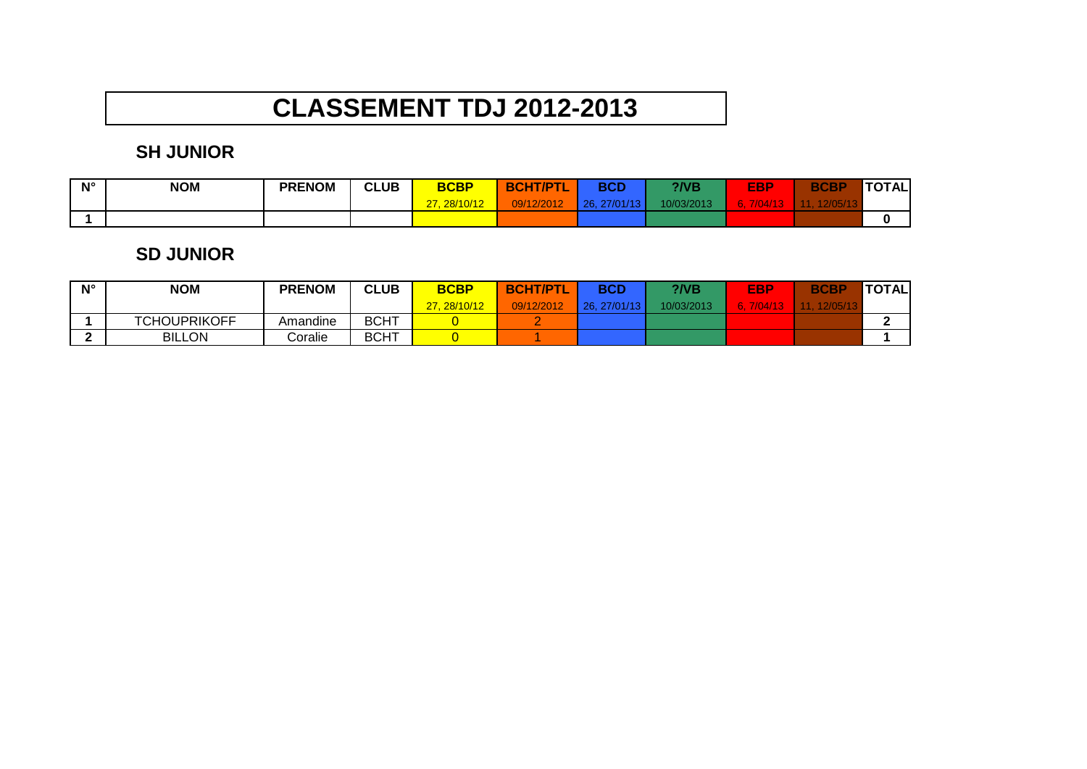# **CLASSEMENT TDJ 2012-2013**

## **SH JUNIOR**

| $N^{\circ}$ | <b>NOM</b> | <b>PRENOM</b> | <b>CLUB</b><br>$\sim$ | <b>BCBP</b>  | <b>BCHT/PTI</b><br>$\sim$ | <b>BCD</b>   | $?$ /VB    | <b>EBP</b> | <b>BCBP</b> | TOTAL |
|-------------|------------|---------------|-----------------------|--------------|---------------------------|--------------|------------|------------|-------------|-------|
|             |            |               |                       | 27, 28/10/12 | 09/12/2012                | 26, 27/01/13 | 10/03/2013 |            |             |       |
|             |            |               |                       |              |                           |              |            |            |             |       |

#### **SD JUNIOR**

| $N^{\circ}$ | <b>NOM</b>          | <b>PRENOM</b> | <b>CLUB</b> | <b>BCBP</b> | <b>BCHT/PTL</b> | BCD         | $\overline{Q}$ | EBP  | <b>BCBP</b> | <b>TOTAL</b> |
|-------------|---------------------|---------------|-------------|-------------|-----------------|-------------|----------------|------|-------------|--------------|
|             |                     |               |             | 27.28/10/12 | 09/12/2012      | 26.27/01/13 | 10/03/2013     | /U4/ | 12/05/1     |              |
|             | <b>TCHOUPRIKOFF</b> | Amandine      | <b>BCHT</b> |             |                 |             |                |      |             |              |
|             | <b>BILLON</b>       | Coralie       | <b>BCHT</b> |             |                 |             |                |      |             |              |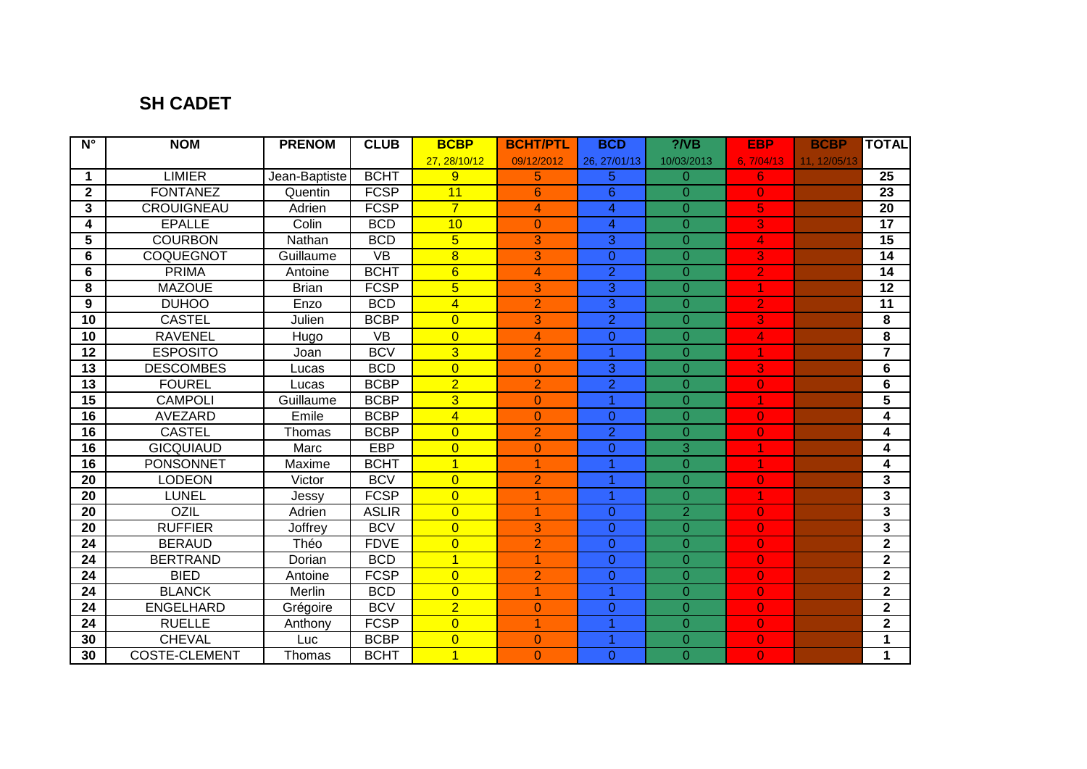### **SH CADET**

| $\overline{\mathsf{N}^{\circ}}$ | <b>NOM</b>           | <b>PRENOM</b> | <b>CLUB</b>       | <b>BCBP</b>     | <b>BCHT/PTL</b> | <b>BCD</b>      | $?$ /VB        | <b>EBP</b>     | <b>BCBP</b>  | <b>TOTAL</b>            |
|---------------------------------|----------------------|---------------|-------------------|-----------------|-----------------|-----------------|----------------|----------------|--------------|-------------------------|
|                                 |                      |               |                   | 27.28/10/12     | 09/12/2012      | 26.27/01/13     | 10/03/2013     | 6, 7/04/13     | 11, 12/05/13 |                         |
| 1                               | <b>LIMIER</b>        | Jean-Baptiste | <b>BCHT</b>       | 9               | 5               | 5               | $\overline{0}$ | 6.             |              | 25                      |
| $\mathbf 2$                     | <b>FONTANEZ</b>      | Quentin       | <b>FCSP</b>       | 11              | 6               | $6\phantom{1}6$ | $\Omega$       | $\overline{0}$ |              | 23                      |
| 3                               | <b>CROUIGNEAU</b>    | Adrien        | <b>FCSP</b>       | $\overline{7}$  | 4               | 4               | $\overline{0}$ | 5              |              | 20                      |
| 4                               | <b>EPALLE</b>        | Colin         | <b>BCD</b>        | 10              | $\Omega$        | $\overline{4}$  | $\overline{0}$ | 3              |              | 17                      |
| 5                               | <b>COURBON</b>       | Nathan        | <b>BCD</b>        | $5\overline{}$  | 3               | 3               | $\overline{0}$ | 4              |              | 15                      |
| 6                               | COQUEGNOT            | Guillaume     | <b>VB</b>         | $\overline{8}$  | 3               | $\overline{0}$  | $\Omega$       | 3              |              | 14                      |
| 6                               | <b>PRIMA</b>         | Antoine       | <b>BCHT</b>       | $6\overline{6}$ | 4               | $\overline{2}$  | $\Omega$       | $\overline{2}$ |              | 14                      |
| 8                               | <b>MAZOUE</b>        | <b>Brian</b>  | <b>FCSP</b>       | $\overline{5}$  | 3               | 3               | $\Omega$       |                |              | 12                      |
| 9                               | <b>DUHOO</b>         | Enzo          | <b>BCD</b>        | $\overline{4}$  | $\overline{2}$  | 3               | $\Omega$       | $\overline{2}$ |              | $\overline{11}$         |
| $\overline{10}$                 | <b>CASTEL</b>        | Julien        | <b>BCBP</b>       | $\overline{0}$  | 3               | $\overline{2}$  | $\Omega$       | 3              |              | 8                       |
| 10                              | <b>RAVENEL</b>       | Hugo          | $\overline{\vee}$ | $\overline{0}$  | 4               | 0               | $\overline{0}$ | 4              |              | $\overline{\mathbf{8}}$ |
| 12                              | <b>ESPOSITO</b>      | Joan          | <b>BCV</b>        | $\overline{3}$  | $\overline{2}$  | 1               | $\Omega$       |                |              | $\overline{\mathbf{7}}$ |
| 13                              | <b>DESCOMBES</b>     | Lucas         | <b>BCD</b>        | $\overline{0}$  | $\Omega$        | 3               | $\Omega$       | 3              |              | 6                       |
| 13                              | <b>FOUREL</b>        | Lucas         | <b>BCBP</b>       | $\overline{2}$  | $\overline{2}$  | $\overline{2}$  | $\Omega$       | $\mathbf{0}$   |              | 6                       |
| $\overline{15}$                 | <b>CAMPOLI</b>       | Guillaume     | <b>BCBP</b>       | $\overline{3}$  | $\Omega$        | 1               | $\Omega$       |                |              | $\overline{\mathbf{5}}$ |
| 16                              | <b>AVEZARD</b>       | Emile         | <b>BCBP</b>       | $\overline{4}$  | $\overline{0}$  | $\overline{0}$  | $\overline{0}$ | $\mathbf{0}$   |              | 4                       |
| 16                              | <b>CASTEL</b>        | Thomas        | <b>BCBP</b>       | $\overline{0}$  | $\overline{2}$  | $\overline{2}$  | $\overline{0}$ | $\mathbf{0}$   |              | 4                       |
| 16                              | <b>GICQUIAUD</b>     | Marc          | <b>EBP</b>        | $\overline{0}$  | $\Omega$        | $\overline{0}$  | $\overline{3}$ |                |              | 4                       |
| $\overline{16}$                 | <b>PONSONNET</b>     | Maxime        | <b>BCHT</b>       | $\overline{1}$  | 1               | 4               | $\overline{0}$ |                |              | 4                       |
| $\overline{20}$                 | <b>LODEON</b>        | Victor        | <b>BCV</b>        | $\overline{0}$  | $\overline{2}$  |                 | $\overline{0}$ | $\overline{0}$ |              | $\overline{\mathbf{3}}$ |
| $\overline{20}$                 | <b>LUNEL</b>         | Jessy         | <b>FCSP</b>       | $\overline{0}$  | 4               | 4               | $\overline{0}$ |                |              | $\overline{\mathbf{3}}$ |
| 20                              | <b>OZIL</b>          | Adrien        | <b>ASLIR</b>      | $\overline{0}$  | 1               | $\Omega$        | $\overline{2}$ | $\overline{0}$ |              | $\overline{\mathbf{3}}$ |
| 20                              | <b>RUFFIER</b>       | Joffrey       | <b>BCV</b>        | $\overline{0}$  | 3               | $\Omega$        | $\Omega$       | $\overline{0}$ |              | $\overline{\mathbf{3}}$ |
| 24                              | <b>BERAUD</b>        | Théo          | <b>FDVE</b>       | $\overline{0}$  | $\overline{2}$  | $\Omega$        | $\overline{0}$ | $\overline{0}$ |              | $\overline{2}$          |
| 24                              | <b>BERTRAND</b>      | Dorian        | <b>BCD</b>        | $\overline{1}$  | 1               | $\Omega$        | $\overline{0}$ | $\overline{0}$ |              | $\overline{2}$          |
| 24                              | <b>BIED</b>          | Antoine       | <b>FCSP</b>       | $\overline{0}$  | $\overline{2}$  | $\overline{0}$  | $\overline{0}$ | $\overline{0}$ |              | $\overline{2}$          |
| 24                              | <b>BLANCK</b>        | Merlin        | <b>BCD</b>        | $\overline{0}$  | 4               | 1               | $\Omega$       | $\overline{0}$ |              | $\overline{\mathbf{2}}$ |
| $\overline{24}$                 | <b>ENGELHARD</b>     | Grégoire      | <b>BCV</b>        | $\overline{2}$  | $\Omega$        | 0               | $\overline{0}$ | $\overline{0}$ |              | $\overline{2}$          |
| 24                              | <b>RUELLE</b>        | Anthony       | <b>FCSP</b>       | $\overline{0}$  | 1               | 1               | $\Omega$       | $\overline{0}$ |              | $\overline{2}$          |
| 30                              | <b>CHEVAL</b>        | Luc           | <b>BCBP</b>       | $\overline{0}$  | 0               |                 | $\Omega$       | 0              |              | 1                       |
| 30                              | <b>COSTE-CLEMENT</b> | Thomas        | <b>BCHT</b>       | $\overline{1}$  | $\Omega$        | $\Omega$        | $\overline{0}$ | $\overline{0}$ |              | $\mathbf{1}$            |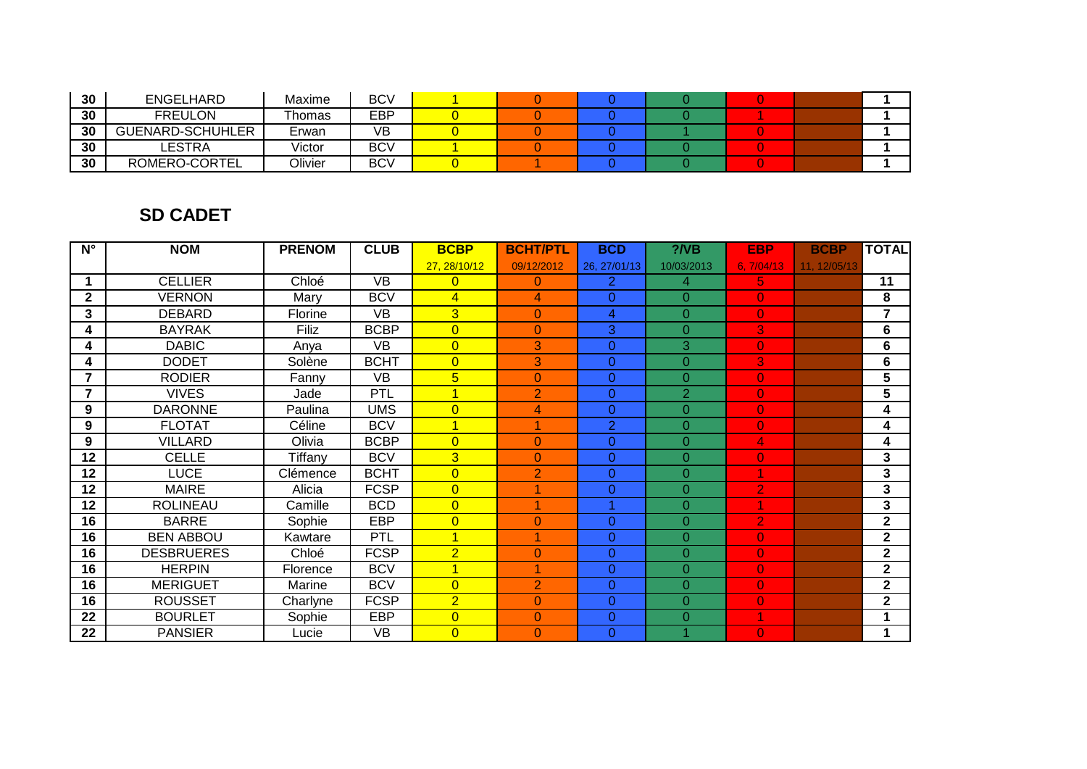| 30 | <b>ENGELHARD</b>        | Maxime  | BCV |  |  |  |  |
|----|-------------------------|---------|-----|--|--|--|--|
| 30 | <b>FREULON</b>          | Thomas  | EBP |  |  |  |  |
| 30 | <b>GUENARD-SCHUHLER</b> | Erwan   | VB  |  |  |  |  |
| 30 | LESTRA                  | Victor  | BCV |  |  |  |  |
| 30 | ROMERO-CORTEL           | Olivier | BCV |  |  |  |  |

## **SD CADET**

| $N^{\circ}$             | <b>NOM</b>        | <b>PRENOM</b> | <b>CLUB</b>     | <b>BCBP</b>          | <b>BCHT/PTL</b> | <b>BCD</b>     | $?$ /VB        | <b>EBP</b>     | <b>BCBP</b>  | <b>TOTAL</b>   |
|-------------------------|-------------------|---------------|-----------------|----------------------|-----------------|----------------|----------------|----------------|--------------|----------------|
|                         |                   |               |                 | 27, 28/10/12         | 09/12/2012      | 26.27/01/13    | 10/03/2013     | 6.7/04/13      | 11, 12/05/13 |                |
| 1                       | <b>CELLIER</b>    | Chloé         | $\overline{VB}$ | $\overline{0}$       | 0               | $\overline{2}$ | $\overline{4}$ | 5.             |              | 11             |
| $\mathbf{2}$            | <b>VERNON</b>     | Mary          | <b>BCV</b>      | $\overline{4}$       | 4               | 0              | $\Omega$       | $\overline{0}$ |              | 8              |
| 3                       | <b>DEBARD</b>     | Florine       | VB              | $\overline{3}$       | $\Omega$        | 4              | $\Omega$       | $\overline{0}$ |              | $\overline{7}$ |
| 4                       | <b>BAYRAK</b>     | <b>Filiz</b>  | <b>BCBP</b>     | $\overline{0}$       | $\Omega$        | 3              | $\Omega$       | 3              |              | 6              |
| 4                       | <b>DABIC</b>      | Anya          | VB              | $\overline{0}$       | 3               | $\overline{0}$ | 3              | $\overline{0}$ |              | 6              |
| 4                       | <b>DODET</b>      | Solène        | <b>BCHT</b>     | $\overline{0}$       | 3               | 0              | $\Omega$       | 3              |              | 6              |
| $\overline{7}$          | <b>RODIER</b>     | Fanny         | VB              | $5\overline{}$       | 0               | $\overline{0}$ | $\Omega$       | $\overline{0}$ |              | 5              |
| $\overline{\mathbf{z}}$ | <b>VIVES</b>      | Jade          | <b>PTL</b>      | $\blacktriangleleft$ | $\overline{2}$  | 0              | $\overline{2}$ | $\overline{0}$ |              | 5              |
| 9                       | <b>DARONNE</b>    | Paulina       | UMS             | $\overline{0}$       | 4               | 0              | $\Omega$       | $\overline{0}$ |              | 4              |
| 9                       | <b>FLOTAT</b>     | Céline        | <b>BCV</b>      | $\overline{1}$       |                 | $\overline{2}$ | $\Omega$       | $\overline{0}$ |              | 4              |
| 9                       | <b>VILLARD</b>    | Olivia        | <b>BCBP</b>     | $\overline{0}$       | 0               | $\overline{0}$ | $\Omega$       | 4              |              | 4              |
| 12                      | <b>CELLE</b>      | Tiffany       | <b>BCV</b>      | $\overline{3}$       | $\Omega$        | $\Omega$       | $\Omega$       | $\overline{0}$ |              | 3              |
| 12                      | <b>LUCE</b>       | Clémence      | <b>BCHT</b>     | $\overline{0}$       | $\overline{2}$  | 0              | $\Omega$       |                |              | 3              |
| 12                      | <b>MAIRE</b>      | Alicia        | <b>FCSP</b>     | $\overline{0}$       |                 | 0              | $\Omega$       | $\overline{2}$ |              | 3              |
| 12                      | <b>ROLINEAU</b>   | Camille       | <b>BCD</b>      | $\overline{0}$       |                 |                | $\Omega$       |                |              | 3              |
| 16                      | <b>BARRE</b>      | Sophie        | <b>EBP</b>      | $\overline{0}$       | 0               | 0              | $\Omega$       | $\overline{2}$ |              | $\mathbf{2}$   |
| 16                      | <b>BEN ABBOU</b>  | Kawtare       | PTL             | $\overline{1}$       |                 | 0              | $\Omega$       | $\overline{0}$ |              | $\mathbf{2}$   |
| 16                      | <b>DESBRUERES</b> | Chloé         | <b>FCSP</b>     | $\overline{2}$       | 0               | 0              | $\Omega$       | $\overline{0}$ |              | $\mathbf 2$    |
| 16                      | <b>HERPIN</b>     | Florence      | <b>BCV</b>      | $\mathbf{1}$         |                 | 0              | $\Omega$       | $\overline{0}$ |              | $\mathbf{2}$   |
| 16                      | <b>MERIGUET</b>   | Marine        | <b>BCV</b>      | $\overline{0}$       | $\overline{2}$  | 0              | $\Omega$       | $\overline{0}$ |              | $\mathbf{2}$   |
| 16                      | <b>ROUSSET</b>    | Charlyne      | <b>FCSP</b>     | $\overline{2}$       | 0               | $\overline{0}$ | $\Omega$       | $\overline{0}$ |              | $\mathbf{2}$   |
| 22                      | <b>BOURLET</b>    | Sophie        | <b>EBP</b>      | $\overline{0}$       | 0               | $\overline{0}$ | $\Omega$       |                |              | 1              |
| 22                      | <b>PANSIER</b>    | Lucie         | <b>VB</b>       | $\overline{0}$       | 0               | 0              |                | $\overline{0}$ |              | 1              |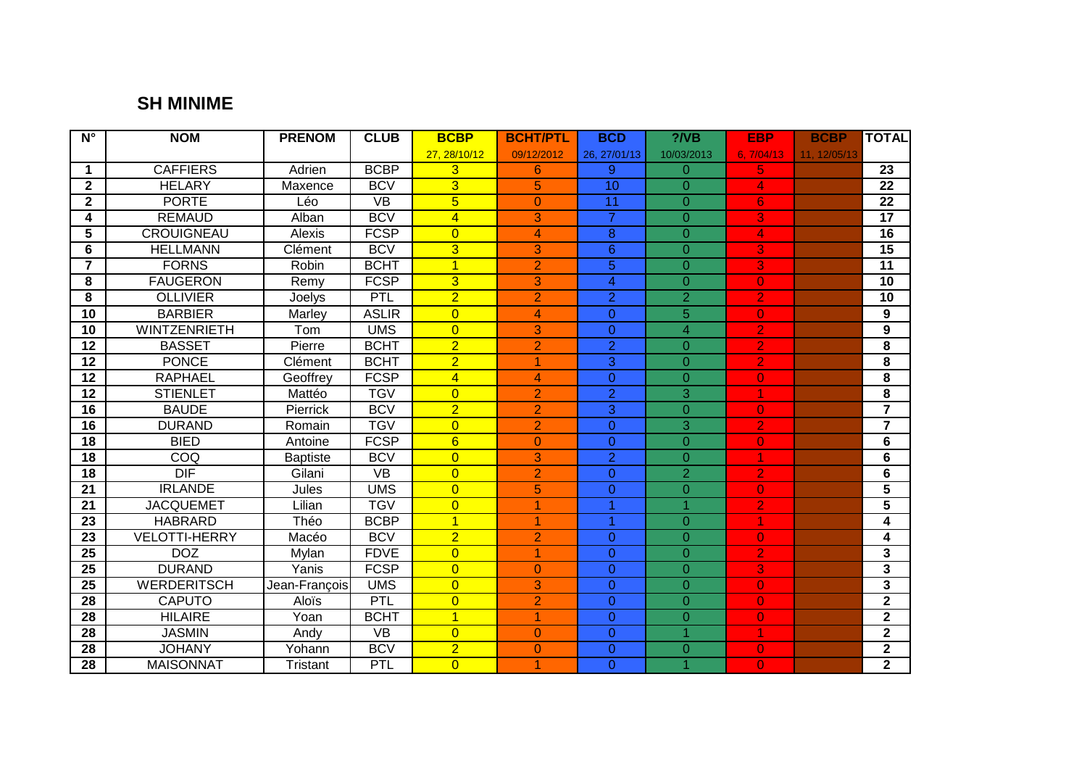### **SH MINIME**

| $N^{\circ}$             | <b>NOM</b>           | <b>PRENOM</b>   | <b>CLUB</b>     | <b>BCBP</b>    | <b>BCHT/PTL</b> | <b>BCD</b>     | $?$ /VB        | <b>EBP</b>     | <b>BCBP</b>  | <b>TOTAL</b>            |
|-------------------------|----------------------|-----------------|-----------------|----------------|-----------------|----------------|----------------|----------------|--------------|-------------------------|
|                         |                      |                 |                 | 27.28/10/12    | 09/12/2012      | 26.27/01/13    | 10/03/2013     | 6.7/04/13      | 11, 12/05/13 |                         |
| $\blacktriangleleft$    | <b>CAFFIERS</b>      | Adrien          | <b>BCBP</b>     | 3              | 6               | 9              | $\Omega$       | 5.             |              | 23                      |
| $\mathbf{2}$            | <b>HELARY</b>        | Maxence         | <b>BCV</b>      | $\overline{3}$ | 5               | 10             | $\Omega$       | 4              |              | $\overline{22}$         |
| $\overline{2}$          | <b>PORTE</b>         | Léo             | $\overline{VB}$ | $\overline{5}$ | $\mathbf{0}$    | 11             | $\Omega$       | 6              |              | $\overline{22}$         |
| 4                       | <b>REMAUD</b>        | Alban           | <b>BCV</b>      | $\overline{4}$ | 3               | $\overline{7}$ | $\overline{0}$ | 3.             |              | $\overline{17}$         |
| $\overline{5}$          | <b>CROUIGNEAU</b>    | Alexis          | <b>FCSP</b>     | $\overline{0}$ | 4               | $\overline{8}$ | $\overline{0}$ | 4              |              | 16                      |
| 6                       | <b>HELLMANN</b>      | Clément         | <b>BCV</b>      | $\overline{3}$ | 3               | $\overline{6}$ | $\overline{0}$ | 3              |              | $\overline{15}$         |
| $\overline{7}$          | <b>FORNS</b>         | <b>Robin</b>    | <b>BCHT</b>     | $\overline{1}$ | $\overline{2}$  | $\overline{5}$ | $\Omega$       | 3              |              | $\overline{11}$         |
| 8                       | <b>FAUGERON</b>      | Remy            | <b>FCSP</b>     | $\overline{3}$ | 3               | $\overline{4}$ | $\Omega$       | $\overline{0}$ |              | 10                      |
| $\overline{\mathbf{8}}$ | <b>OLLIVIER</b>      | Joelys          | PTL             | $\overline{2}$ | $\overline{2}$  | $\overline{2}$ | $\overline{2}$ | $\overline{2}$ |              | $\overline{10}$         |
| 10                      | <b>BARBIER</b>       | Marley          | <b>ASLIR</b>    | $\overline{0}$ | 4               | $\overline{0}$ | $\overline{5}$ | 0              |              | 9                       |
| 10                      | <b>WINTZENRIETH</b>  | Tom             | <b>UMS</b>      | $\overline{0}$ | 3               | $\overline{0}$ | $\overline{4}$ | $\overline{2}$ |              | $\boldsymbol{9}$        |
| 12                      | <b>BASSET</b>        | Pierre          | <b>BCHT</b>     | $\overline{2}$ | $\overline{2}$  | $\overline{2}$ | $\overline{0}$ | $\overline{2}$ |              | 8                       |
| 12                      | <b>PONCE</b>         | Clément         | <b>BCHT</b>     | $\overline{2}$ | 1.              | $\overline{3}$ | $\Omega$       | $\overline{2}$ |              | 8                       |
| 12                      | <b>RAPHAEL</b>       | Geoffrey        | <b>FCSP</b>     | $\overline{4}$ | 4               | $\overline{0}$ | $\overline{0}$ | $\overline{0}$ |              | 8                       |
| 12                      | <b>STIENLET</b>      | Mattéo          | <b>TGV</b>      | $\overline{0}$ | $\overline{2}$  | $\overline{2}$ | 3              | 1              |              | 8                       |
| $\overline{16}$         | <b>BAUDE</b>         | Pierrick        | <b>BCV</b>      | $\overline{2}$ | $\overline{2}$  | $\overline{3}$ | $\Omega$       | $\overline{0}$ |              | $\overline{7}$          |
| 16                      | <b>DURAND</b>        | Romain          | <b>TGV</b>      | $\overline{0}$ | $\overline{2}$  | $\overline{0}$ | $\overline{3}$ | $\overline{2}$ |              | $\overline{7}$          |
| 18                      | <b>BIED</b>          | Antoine         | <b>FCSP</b>     | $\overline{6}$ | $\overline{0}$  | $\overline{0}$ | $\overline{0}$ | $\overline{0}$ |              | 6                       |
| $\overline{18}$         | COQ                  | <b>Baptiste</b> | <b>BCV</b>      | $\overline{0}$ | 3               | $\overline{2}$ | $\overline{0}$ | 1              |              | 6                       |
| 18                      | DIF                  | Gilani          | <b>VB</b>       | $\overline{0}$ | $\overline{2}$  | $\overline{0}$ | $\overline{2}$ | $\overline{2}$ |              | $6\phantom{1}6$         |
| 21                      | <b>IRLANDE</b>       | Jules           | <b>UMS</b>      | $\overline{0}$ | 5               | 0              | $\Omega$       | $\overline{0}$ |              | $\overline{\mathbf{5}}$ |
| 21                      | <b>JACQUEMET</b>     | Lilian          | <b>TGV</b>      | $\overline{0}$ | 1               | 1              | $\overline{1}$ | $\overline{2}$ |              | 5                       |
| 23                      | <b>HABRARD</b>       | Théo            | <b>BCBP</b>     | $\overline{1}$ | 1               | 1              | $\Omega$       | 1              |              | 4                       |
| 23                      | <b>VELOTTI-HERRY</b> | Macéo           | <b>BCV</b>      | $\overline{2}$ | $\overline{2}$  | $\overline{0}$ | $\overline{0}$ | $\overline{0}$ |              | 4                       |
| 25                      | <b>DOZ</b>           | Mylan           | <b>FDVE</b>     | $\overline{0}$ | 1               | $\overline{0}$ | $\Omega$       | $\overline{2}$ |              | $\overline{\mathbf{3}}$ |
| 25                      | <b>DURAND</b>        | Yanis           | <b>FCSP</b>     | $\overline{0}$ | $\overline{0}$  | $\overline{0}$ | $\overline{0}$ | 3              |              | 3                       |
| 25                      | <b>WERDERITSCH</b>   | Jean-François   | <b>UMS</b>      | $\overline{0}$ | 3               | $\overline{0}$ | $\Omega$       | $\overline{0}$ |              | $\overline{\mathbf{3}}$ |
| 28                      | <b>CAPUTO</b>        | Aloïs           | PTL             | $\overline{0}$ | $\overline{2}$  | $\overline{0}$ | $\overline{0}$ | $\overline{0}$ |              | $\overline{2}$          |
| 28                      | <b>HILAIRE</b>       | Yoan            | <b>BCHT</b>     | $\overline{1}$ | 1               | $\overline{0}$ | $\overline{0}$ | $\overline{0}$ |              | $\mathbf{2}$            |
| 28                      | <b>JASMIN</b>        | Andy            | <b>VB</b>       | $\overline{0}$ | $\Omega$        | $\overline{0}$ | 1              | 1              |              | $\overline{2}$          |
| 28                      | <b>JOHANY</b>        | Yohann          | <b>BCV</b>      | $\overline{2}$ | $\Omega$        | 0              | $\Omega$       | $\overline{0}$ |              | $\mathbf 2$             |
| 28                      | <b>MAISONNAT</b>     | <b>Tristant</b> | PTL             | $\overline{0}$ | 1               | $\overline{0}$ | 1              | $\overline{0}$ |              | $\overline{2}$          |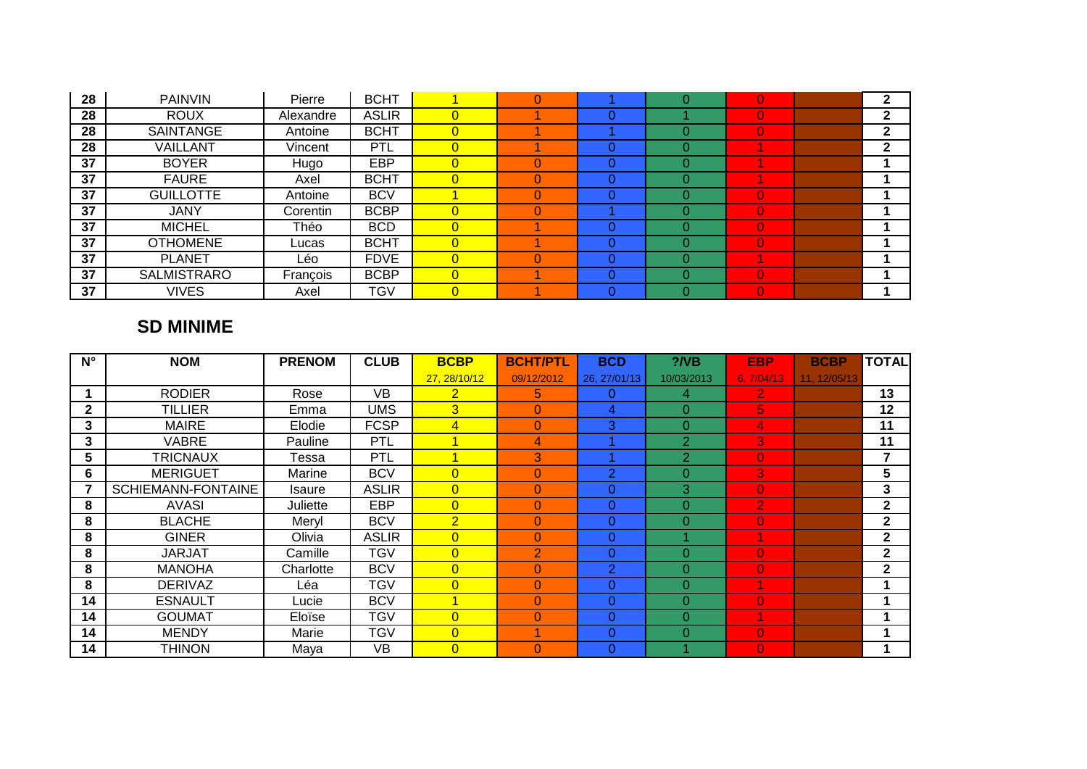| 28 | <b>PAINVIN</b>     | Pierre    | <b>BCHT</b>  |                | O |              | 0              | $\mathbf{2}$ |
|----|--------------------|-----------|--------------|----------------|---|--------------|----------------|--------------|
| 28 | <b>ROUX</b>        | Alexandre | <b>ASLIR</b> | $\overline{0}$ |   |              | 0              | 2            |
| 28 | SAINTANGE          | Antoine   | <b>BCHT</b>  | $\overline{0}$ |   |              | 0              | 2            |
| 28 | VAILLANT           | Vincent   | PTL          | $\overline{0}$ |   | 0            |                | 2            |
| 37 | <b>BOYER</b>       | Hugo      | EBP          | $\overline{0}$ |   |              |                |              |
| 37 | <b>FAURE</b>       | Axel      | <b>BCHT</b>  | $\overline{0}$ |   | $\Omega$     |                |              |
| 37 | <b>GUILLOTTE</b>   | Antoine   | <b>BCV</b>   |                |   |              | 0              |              |
| 37 | <b>JANY</b>        | Corentin  | <b>BCBP</b>  | $\overline{0}$ |   |              | 0              |              |
| 37 | <b>MICHEL</b>      | Théo      | <b>BCD</b>   | $\overline{0}$ |   |              | 0              |              |
| 37 | <b>OTHOMENE</b>    | Lucas     | <b>BCHT</b>  | $\overline{0}$ |   | <sup>0</sup> | $\overline{0}$ |              |
| 37 | <b>PLANET</b>      | Léo       | <b>FDVE</b>  | $\overline{0}$ |   |              |                |              |
| 37 | <b>SALMISTRARO</b> | François  | <b>BCBP</b>  | $\overline{0}$ |   | 0            | 0              |              |
| 37 | <b>VIVES</b>       | Axel      | TGV          | $\overline{0}$ |   |              | 0              |              |

## **SD MINIME**

| $N^{\circ}$  | <b>NOM</b>         | <b>PRENOM</b> | <b>CLUB</b>  | <b>BCBP</b>    | <b>BCHT/PTL</b> | <b>BCD</b>     | $?$ /VB        | <b>EBP</b>     | <b>BCBP</b>  | <b>TOTAL</b> |
|--------------|--------------------|---------------|--------------|----------------|-----------------|----------------|----------------|----------------|--------------|--------------|
|              |                    |               |              | 27, 28/10/12   | 09/12/2012      | 26, 27/01/13   | 10/03/2013     | 6, 7/04/13     | 11, 12/05/13 |              |
|              | <b>RODIER</b>      | Rose          | VB           | $\overline{2}$ | 5.              | 0              | 4              | 2              |              | 13           |
| $\mathbf{2}$ | TILLIER            | Emma          | <b>UMS</b>   | $\overline{3}$ | $\Omega$        | 4              | $\Omega$       | 5              |              | 12           |
| 3            | <b>MAIRE</b>       | Elodie        | <b>FCSP</b>  | $\overline{4}$ | $\Omega$        | 3              | $\Omega$       | 4              |              | 11           |
| 3            | <b>VABRE</b>       | Pauline       | PTL          |                | 4               |                | $\overline{2}$ | 3              |              | 11           |
| 5            | TRICNAUX           | Tessa         | PTL          |                | 3               |                | $\overline{2}$ | $\overline{0}$ |              | 7            |
| 6            | <b>MERIGUET</b>    | Marine        | <b>BCV</b>   | $\overline{0}$ | 0               | $\overline{2}$ | $\Omega$       | 3              |              | 5            |
| 7            | SCHIEMANN-FONTAINE | <b>Isaure</b> | <b>ASLIR</b> | $\overline{0}$ | $\Omega$        | 0              | 3              | $\overline{0}$ |              | 3            |
| 8            | AVASI              | Juliette      | EBP          | $\overline{0}$ | 0               | 0              | $\Omega$       | $\overline{2}$ |              | $\mathbf{2}$ |
| 8            | <b>BLACHE</b>      | Meryl         | <b>BCV</b>   | $\overline{2}$ | $\Omega$        | 0              | $\Omega$       | $\overline{0}$ |              | $\mathbf{2}$ |
| 8            | <b>GINER</b>       | Olivia        | <b>ASLIR</b> | $\overline{0}$ | $\Omega$        | 0              |                |                |              | $\mathbf{2}$ |
| 8            | <b>JARJAT</b>      | Camille       | TGV          | $\overline{0}$ | $\overline{2}$  | 0              | $\Omega$       | $\overline{0}$ |              | $\mathbf{2}$ |
| 8            | <b>MANOHA</b>      | Charlotte     | <b>BCV</b>   | $\overline{0}$ | $\overline{0}$  | $\overline{2}$ | $\Omega$       | $\overline{0}$ |              | $\mathbf{2}$ |
| 8            | <b>DERIVAZ</b>     | Léa           | TGV          | $\overline{0}$ | $\overline{0}$  | 0              | $\Omega$       |                |              |              |
| 14           | <b>ESNAULT</b>     | Lucie         | <b>BCV</b>   |                | $\Omega$        | 0              | $\Omega$       | $\Omega$       |              |              |
| 14           | GOUMAT             | Eloïse        | <b>TGV</b>   | $\overline{0}$ | $\Omega$        | 0              | $\Omega$       |                |              |              |
| 14           | <b>MENDY</b>       | Marie         | TGV          | $\overline{0}$ |                 | 0              | $\Omega$       | $\overline{0}$ |              |              |
| 14           | <b>THINON</b>      | Maya          | VB           | $\overline{0}$ | $\Omega$        | 0              |                | $\overline{0}$ |              |              |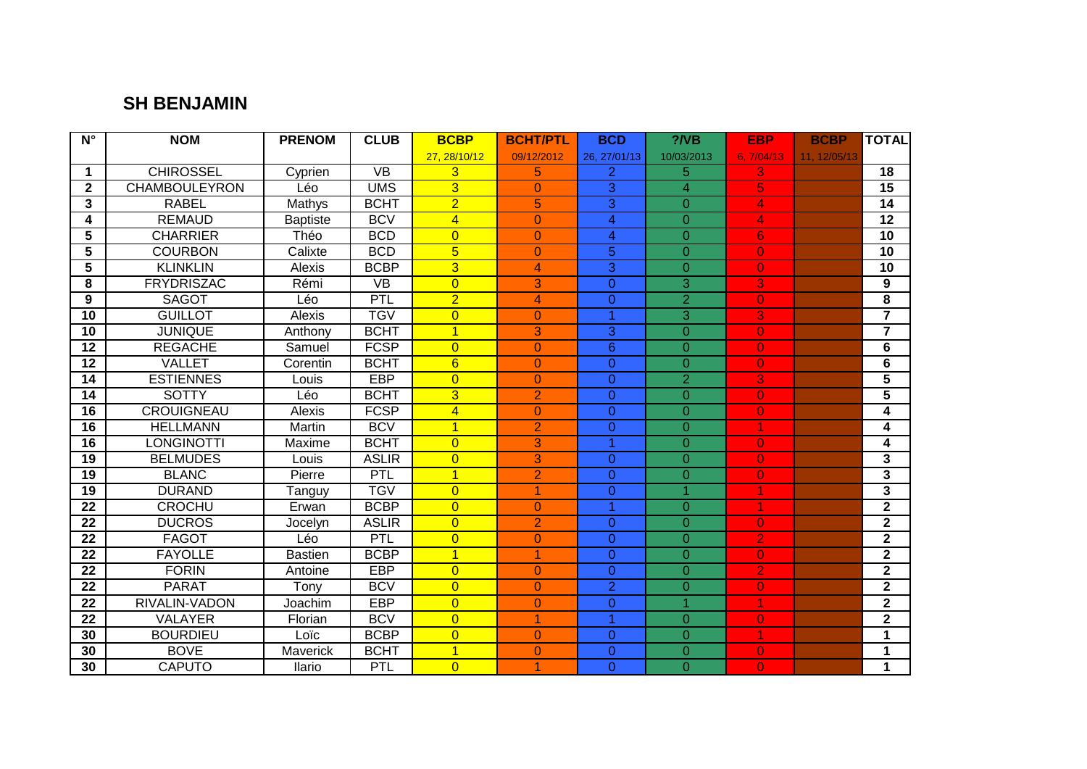### **SH BENJAMIN**

| $\overline{\mathsf{N}^{\circ}}$ | <b>NOM</b>           | <b>PRENOM</b>   | <b>CLUB</b>  | <b>BCBP</b>     | <b>BCHT/PTL</b> | <b>BCD</b>      | $?$ /VB              | <b>EBP</b>               | <b>BCBP</b>  | <b>TOTAL</b>            |
|---------------------------------|----------------------|-----------------|--------------|-----------------|-----------------|-----------------|----------------------|--------------------------|--------------|-------------------------|
|                                 |                      |                 |              | 27, 28/10/12    | 09/12/2012      | 26, 27/01/13    | 10/03/2013           | 6.7/04/13                | 11, 12/05/13 |                         |
| 1                               | <b>CHIROSSEL</b>     | Cyprien         | <b>VB</b>    | 3               | 5               | $\overline{2}$  | 5                    | 3                        |              | 18                      |
| $\mathbf{2}$                    | <b>CHAMBOULEYRON</b> | Léo             | <b>UMS</b>   | $\overline{3}$  | $\mathbf{0}$    | $\overline{3}$  | $\overline{4}$       | 5                        |              | 15                      |
| 3                               | <b>RABEL</b>         | Mathys          | <b>BCHT</b>  | $\overline{2}$  | 5               | $\overline{3}$  | $\Omega$             | 4                        |              | 14                      |
| 4                               | <b>REMAUD</b>        | <b>Baptiste</b> | <b>BCV</b>   | $\overline{4}$  | $\overline{0}$  | $\overline{4}$  | $\overline{O}$       | 4                        |              | $\overline{12}$         |
| 5                               | <b>CHARRIER</b>      | Théo            | <b>BCD</b>   | $\overline{0}$  | $\overline{0}$  | $\overline{4}$  | $\overline{0}$       | $6 \,$                   |              | 10                      |
| 5                               | <b>COURBON</b>       | Calixte         | <b>BCD</b>   | $\overline{5}$  | $\overline{0}$  | 5               | $\overline{0}$       | $\overline{O}$           |              | 10                      |
| 5                               | <b>KLINKLIN</b>      | Alexis          | <b>BCBP</b>  | $\overline{3}$  | 4               | $\overline{3}$  | $\Omega$             | $\overline{0}$           |              | 10                      |
| 8                               | <b>FRYDRISZAC</b>    | Rémi            | <b>VB</b>    | $\overline{0}$  | 3               | $\overline{0}$  | 3                    | 3                        |              | 9                       |
| 9                               | <b>SAGOT</b>         | Léo             | PTL          | $\overline{2}$  | 4               | $\overline{0}$  | $\overline{2}$       | $\overline{0}$           |              | $\overline{\mathbf{8}}$ |
| 10                              | <b>GUILLOT</b>       | Alexis          | <b>TGV</b>   | $\overline{0}$  | $\overline{0}$  | 1               | 3                    | 3                        |              | $\overline{7}$          |
| 10                              | <b>JUNIQUE</b>       | Anthony         | <b>BCHT</b>  | $\overline{1}$  | 3               | 3               | $\Omega$             | $\overline{0}$           |              | $\overline{7}$          |
| 12                              | <b>REGACHE</b>       | Samuel          | <b>FCSP</b>  | $\overline{0}$  | $\overline{0}$  | $6\overline{6}$ | $\overline{0}$       | $\overline{0}$           |              | 6                       |
| 12                              | <b>VALLET</b>        | Corentin        | <b>BCHT</b>  | $6\overline{6}$ | $\overline{0}$  | $\overline{0}$  | $\Omega$             | $\overline{0}$           |              | 6                       |
| 14                              | <b>ESTIENNES</b>     | Louis           | <b>EBP</b>   | $\overline{0}$  | $\overline{0}$  | $\overline{0}$  | $\overline{2}$       | 3                        |              | 5                       |
| 14                              | <b>SOTTY</b>         | Léo             | <b>BCHT</b>  | $\overline{3}$  | $\overline{2}$  | $\overline{0}$  | $\overline{0}$       | $\overline{0}$           |              | $\overline{\mathbf{5}}$ |
| $\overline{16}$                 | <b>CROUIGNEAU</b>    | Alexis          | <b>FCSP</b>  | $\overline{4}$  | $\overline{0}$  | $\overline{0}$  | $\Omega$             | $\overline{0}$           |              | 4                       |
| 16                              | <b>HELLMANN</b>      | Martin          | <b>BCV</b>   | $\overline{1}$  | $\overline{2}$  | $\overline{0}$  | $\overline{0}$       | 1                        |              | 4                       |
| 16                              | <b>LONGINOTTI</b>    | Maxime          | <b>BCHT</b>  | $\overline{0}$  | 3               | 1               | $\overline{0}$       | $\overline{0}$           |              | 4                       |
| 19                              | <b>BELMUDES</b>      | Louis           | <b>ASLIR</b> | $\overline{0}$  | 3               | $\overline{0}$  | $\overline{0}$       | $\overline{0}$           |              | $\overline{3}$          |
| 19                              | <b>BLANC</b>         | Pierre          | PTL          | $\overline{1}$  | $\overline{2}$  | $\overline{0}$  | $\overline{0}$       | $\overline{0}$           |              | $\mathbf{3}$            |
| 19                              | <b>DURAND</b>        | Tanguy          | <b>TGV</b>   | $\overline{0}$  | 1               | $\overline{0}$  | $\blacktriangleleft$ | $\overline{\mathcal{A}}$ |              | $\overline{\mathbf{3}}$ |
| 22                              | <b>CROCHU</b>        | Erwan           | <b>BCBP</b>  | $\overline{0}$  | $\overline{0}$  | 1               | $\Omega$             |                          |              | $\mathbf{2}$            |
| $\overline{22}$                 | <b>DUCROS</b>        | Jocelyn         | <b>ASLIR</b> | $\overline{0}$  | $\overline{2}$  | 0               | $\overline{0}$       | $\overline{0}$           |              | $\overline{2}$          |
| 22                              | <b>FAGOT</b>         | Léo             | PTL          | $\overline{0}$  | $\mathbf{0}$    | $\overline{0}$  | $\overline{O}$       | $\overline{2}$           |              | $\mathbf{2}$            |
| 22                              | <b>FAYOLLE</b>       | <b>Bastien</b>  | <b>BCBP</b>  | $\overline{1}$  | 1               | $\overline{0}$  | $\overline{0}$       | $\overline{0}$           |              | $\mathbf{2}$            |
| 22                              | <b>FORIN</b>         | Antoine         | EBP          | $\overline{0}$  | $\overline{0}$  | $\overline{0}$  | $\overline{0}$       | $\overline{2}$           |              | $\mathbf{2}$            |
| $\overline{22}$                 | <b>PARAT</b>         | Tony            | <b>BCV</b>   | $\overline{0}$  | $\overline{0}$  | $\overline{2}$  | $\overline{0}$       | $\overline{0}$           |              | $\mathbf{2}$            |
| $\overline{22}$                 | RIVALIN-VADON        | Joachim         | <b>EBP</b>   | $\overline{0}$  | $\overline{0}$  | $\overline{0}$  | 1                    | 1                        |              | $\overline{2}$          |
| 22                              | <b>VALAYER</b>       | Florian         | <b>BCV</b>   | $\overline{0}$  | 1               | $\overline{1}$  | $\overline{O}$       | $\overline{0}$           |              | $\mathbf 2$             |
| 30                              | <b>BOURDIEU</b>      | Loïc            | <b>BCBP</b>  | $\overline{0}$  | $\mathbf{0}$    | $\overline{0}$  | $\overline{0}$       | 7                        |              | $\mathbf 1$             |
| 30                              | <b>BOVE</b>          | Maverick        | <b>BCHT</b>  | $\overline{1}$  | $\overline{0}$  | $\overline{0}$  | $\Omega$             | $\mathbf{O}$             |              | 1                       |
| 30                              | <b>CAPUTO</b>        | Ilario          | PTL          | $\overline{0}$  | 1               | $\overline{0}$  | $\overline{0}$       | $\overline{0}$           |              | $\mathbf{1}$            |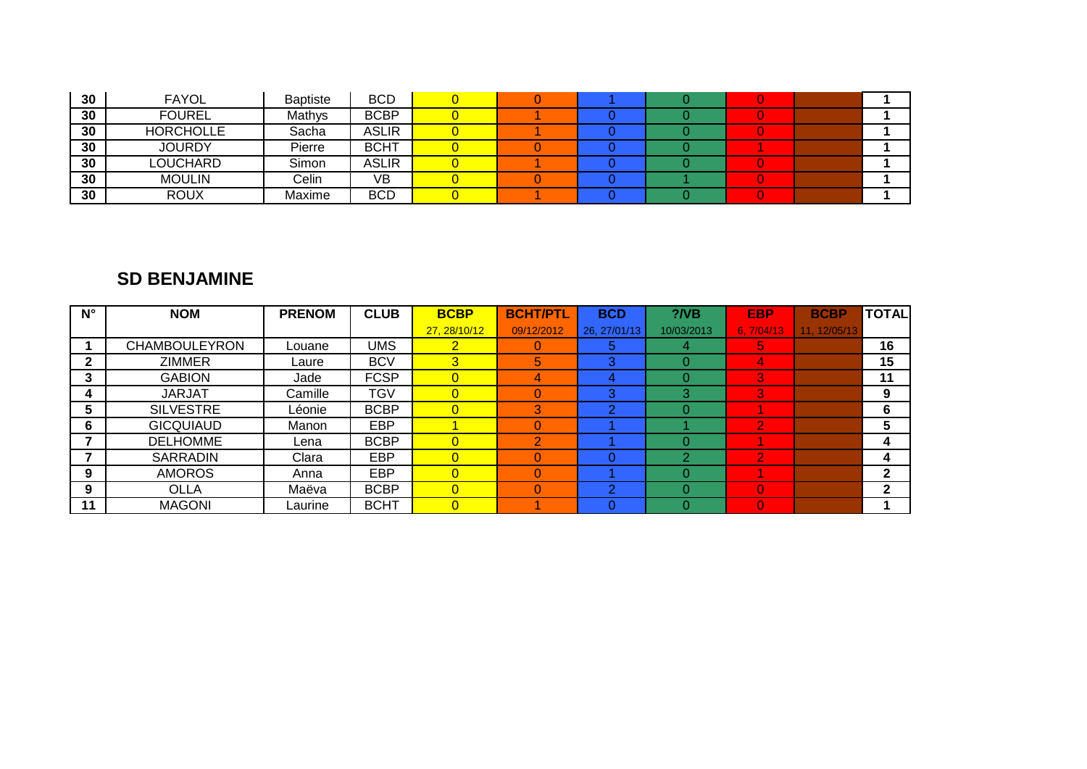| 30 <sup>°</sup> | <b>FAYOL</b>     | <b>Baptiste</b> | <b>BCD</b>   |  |  |  |  |
|-----------------|------------------|-----------------|--------------|--|--|--|--|
| 30              | <b>FOUREL</b>    | Mathys          | <b>BCBP</b>  |  |  |  |  |
| 30              | <b>HORCHOLLE</b> | Sacha           | <b>ASLIR</b> |  |  |  |  |
| 30 <sup>°</sup> | <b>JOURDY</b>    | Pierre          | <b>BCHT</b>  |  |  |  |  |
| 30 <sub>o</sub> | LOUCHARD         | Simon           | ASLIR        |  |  |  |  |
| 30 <sub>o</sub> | <b>MOULIN</b>    | Celin           | VB           |  |  |  |  |
| 30              | <b>ROUX</b>      | Maxime          | <b>BCD</b>   |  |  |  |  |

#### **SD BENJAMINE**

| $N^{\circ}$ | <b>NOM</b>           | <b>PRENOM</b> | <b>CLUB</b> | <b>BCBP</b>    | <b>BCHT/PTL</b> | <b>BCD</b>   | $?$ /VB    | <b>EBP</b> | <b>BCBP</b> | <b>TOTAL</b> |
|-------------|----------------------|---------------|-------------|----------------|-----------------|--------------|------------|------------|-------------|--------------|
|             |                      |               |             | 27, 28/10/12   | 09/12/2012      | 26, 27/01/13 | 10/03/2013 | 6, 7/04/13 | 11.12/05/13 |              |
|             | <b>CHAMBOULEYRON</b> | Louane        | <b>UMS</b>  | $\mathbf{2}$   |                 | 5            | 4          | 5,         |             | 16           |
| 2           | <b>ZIMMER</b>        | Laure         | <b>BCV</b>  | 3              | 5               | 3            | 0          | д,         |             | 15           |
| 3           | <b>GABION</b>        | Jade          | <b>FCSP</b> | $\overline{0}$ | 4               | 4            | O          | 3          |             | 11           |
| 4           | <b>JARJAT</b>        | Camille       | TGV         | $\overline{0}$ |                 | 3            | 3          | 3          |             | 9            |
| 5           | <b>SILVESTRE</b>     | Léonie        | <b>BCBP</b> | $\overline{0}$ | 3               | റ            | O          |            |             | 6            |
| 6           | <b>GICQUIAUD</b>     | Manon         | <b>EBP</b>  |                |                 |              |            | 2          |             | 5            |
|             | <b>DELHOMME</b>      | Lena          | <b>BCBP</b> | $\overline{0}$ |                 |              | O          |            |             | 4            |
|             | <b>SARRADIN</b>      | Clara         | <b>EBP</b>  | $\overline{0}$ |                 |              | っ          | 2          |             | 4            |
| 9           | <b>AMOROS</b>        | Anna          | <b>EBP</b>  | $\overline{0}$ |                 |              | O          |            |             | $\mathbf{2}$ |
| 9           | OLLA                 | Maëva         | <b>BCBP</b> | $\overline{0}$ |                 | ົ            | O          | $\Omega$   |             | $\mathbf{2}$ |
| 11          | <b>MAGONI</b>        | ∟aurine       | <b>BCHT</b> | $\overline{0}$ |                 |              |            | $\Omega$   |             |              |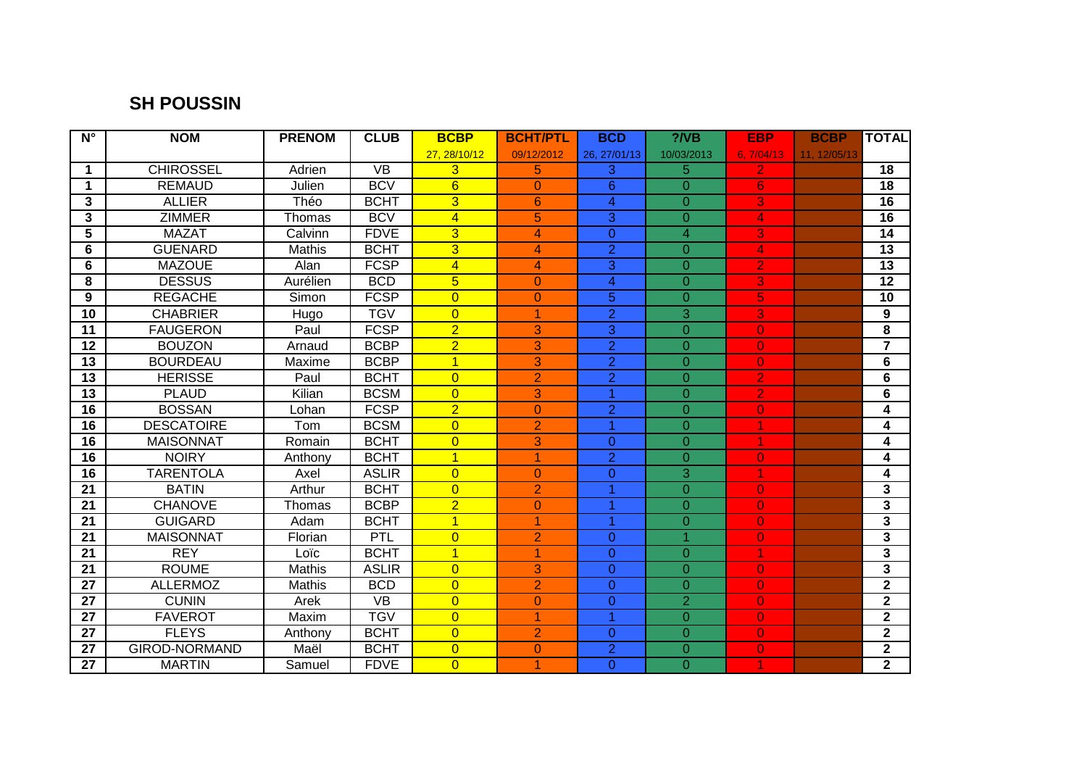## **SH POUSSIN**

| $\overline{\mathsf{N}^{\circ}}$ | <b>NOM</b>           | <b>PRENOM</b> | <b>CLUB</b>     | <b>BCBP</b>    | <b>BCHT/PTL</b> | <b>BCD</b>     | $?$ /VB        | <b>EBP</b>     | <b>BCBP</b>  | <b>TOTAL</b>            |
|---------------------------------|----------------------|---------------|-----------------|----------------|-----------------|----------------|----------------|----------------|--------------|-------------------------|
|                                 |                      |               |                 | 27, 28/10/12   | 09/12/2012      | 26, 27/01/13   | 10/03/2013     | 6.7/04/13      | 11, 12/05/13 |                         |
| 1                               | <b>CHIROSSEL</b>     | Adrien        | <b>VB</b>       | 3              | 5               | 3              | 5              | 2.             |              | 18                      |
| $\mathbf 1$                     | <b>REMAUD</b>        | Julien        | <b>BCV</b>      | 6              | $\Omega$        | $6\phantom{1}$ | $\Omega$       | 6              |              | $\overline{18}$         |
| 3                               | <b>ALLIER</b>        | Théo          | <b>BCHT</b>     | $\overline{3}$ | 6               | $\overline{4}$ | $\overline{0}$ | 3              |              | 16                      |
| 3                               | <b>ZIMMER</b>        | Thomas        | <b>BCV</b>      | $\overline{4}$ | 5               | $\overline{3}$ | $\overline{0}$ | 4              |              | 16                      |
| 5                               | <b>MAZAT</b>         | Calvinn       | <b>FDVE</b>     | $\overline{3}$ | 4               | $\overline{0}$ | $\overline{4}$ | 3              |              | 14                      |
| 6                               | <b>GUENARD</b>       | <b>Mathis</b> | <b>BCHT</b>     | $\overline{3}$ | 4               | $\overline{2}$ | $\Omega$       | 4              |              | $\overline{13}$         |
| 6                               | <b>MAZOUE</b>        | Alan          | <b>FCSP</b>     | $\overline{4}$ | 4               | $\overline{3}$ | $\Omega$       | $\overline{2}$ |              | $\overline{13}$         |
| 8                               | <b>DESSUS</b>        | Aurélien      | <b>BCD</b>      | $\overline{5}$ | $\overline{0}$  | $\overline{4}$ | $\overline{0}$ | 3              |              | $\overline{12}$         |
| 9                               | <b>REGACHE</b>       | Simon         | <b>FCSP</b>     | $\overline{0}$ | $\overline{0}$  | $\overline{5}$ | $\overline{0}$ | 5              |              | 10                      |
| 10                              | <b>CHABRIER</b>      | Hugo          | <b>TGV</b>      | $\overline{0}$ | 1               | $\overline{2}$ | 3              | 3              |              | 9                       |
| 11                              | <b>FAUGERON</b>      | Paul          | <b>FCSP</b>     | $\overline{2}$ | 3               | 3              | $\Omega$       | $\mathbf{0}$   |              | 8                       |
| 12                              | <b>BOUZON</b>        | Arnaud        | <b>BCBP</b>     | $\overline{2}$ | 3               | $\overline{2}$ | $\Omega$       | $\overline{0}$ |              | $\overline{7}$          |
| $\overline{13}$                 | <b>BOURDEAU</b>      | Maxime        | <b>BCBP</b>     | $\overline{1}$ | 3               | $\overline{2}$ | $\overline{0}$ | $\overline{O}$ |              | 6                       |
| 13                              | <b>HERISSE</b>       | Paul          | <b>BCHT</b>     | $\overline{0}$ | $\overline{2}$  | $\overline{2}$ | $\overline{O}$ | $\overline{2}$ |              | 6                       |
| 13                              | <b>PLAUD</b>         | Kilian        | <b>BCSM</b>     | $\overline{0}$ | 3               | 1              | $\overline{0}$ | $\overline{2}$ |              | 6                       |
| 16                              | <b>BOSSAN</b>        | Lohan         | <b>FCSP</b>     | $\overline{2}$ | $\overline{0}$  | $\overline{2}$ | $\Omega$       | $\mathbf{0}$   |              | 4                       |
| 16                              | <b>DESCATOIRE</b>    | Tom           | <b>BCSM</b>     | $\overline{0}$ | $\overline{2}$  | $\overline{1}$ | $\Omega$       |                |              | 4                       |
| $\overline{16}$                 | <b>MAISONNAT</b>     | Romain        | <b>BCHT</b>     | $\overline{0}$ | 3               | $\overline{0}$ | $\overline{0}$ | 1              |              | 4                       |
| 16                              | <b>NOIRY</b>         | Anthony       | <b>BCHT</b>     | $\overline{1}$ | 1               | $\overline{2}$ | $\overline{0}$ | $\overline{0}$ |              | 4                       |
| $\overline{16}$                 | <b>TARENTOLA</b>     | Axel          | <b>ASLIR</b>    | $\overline{0}$ | $\overline{0}$  | $\overline{0}$ | 3              | 1              |              | 4                       |
| 21                              | <b>BATIN</b>         | Arthur        | <b>BCHT</b>     | $\overline{0}$ | $\overline{2}$  | 1              | $\Omega$       | $\overline{0}$ |              | 3                       |
| 21                              | <b>CHANOVE</b>       | Thomas        | <b>BCBP</b>     | $\overline{2}$ | $\overline{0}$  | 1              | $\Omega$       | $\overline{0}$ |              | $\mathbf{3}$            |
| 21                              | <b>GUIGARD</b>       | Adam          | <b>BCHT</b>     | $\overline{1}$ | 1               | 1              | $\overline{0}$ | $\overline{0}$ |              | $\overline{\mathbf{3}}$ |
| 21                              | <b>MAISONNAT</b>     | Florian       | PTL             | $\overline{0}$ | $\overline{2}$  | $\overline{0}$ | $\overline{1}$ | $\overline{0}$ |              | 3                       |
| 21                              | <b>REY</b>           | Loïc          | <b>BCHT</b>     | $\overline{1}$ | 1               | $\overline{0}$ | $\overline{0}$ | 1              |              | $\mathbf{3}$            |
| 21                              | <b>ROUME</b>         | <b>Mathis</b> | <b>ASLIR</b>    | $\overline{0}$ | 3               | $\overline{0}$ | $\Omega$       | $\mathbf{O}$   |              | $\overline{\mathbf{3}}$ |
| 27                              | <b>ALLERMOZ</b>      | Mathis        | <b>BCD</b>      | $\overline{0}$ | $\overline{2}$  | $\overline{0}$ | $\Omega$       | $\overline{0}$ |              | $\mathbf{2}$            |
| $\overline{27}$                 | <b>CUNIN</b>         | Arek          | $\overline{VB}$ | $\overline{0}$ | $\overline{0}$  | $\overline{0}$ | $\overline{2}$ | $\overline{0}$ |              | $\overline{2}$          |
| 27                              | <b>FAVEROT</b>       | Maxim         | <b>TGV</b>      | $\overline{0}$ | 1               | $\overline{1}$ | $\overline{0}$ | $\overline{0}$ |              | $\mathbf{2}$            |
| 27                              | <b>FLEYS</b>         | Anthony       | <b>BCHT</b>     | $\overline{0}$ | $\overline{2}$  | $\overline{0}$ | $\overline{0}$ | $\mathbf{O}$   |              | $\overline{2}$          |
| 27                              | <b>GIROD-NORMAND</b> | Maël          | <b>BCHT</b>     | $\overline{0}$ | $\overline{0}$  | $\overline{2}$ | $\Omega$       | $\mathbf{0}$   |              | $\mathbf{2}$            |
| 27                              | <b>MARTIN</b>        | Samuel        | <b>FDVE</b>     | $\overline{0}$ | 1               | $\overline{0}$ | $\Omega$       | 1              |              | $\overline{2}$          |